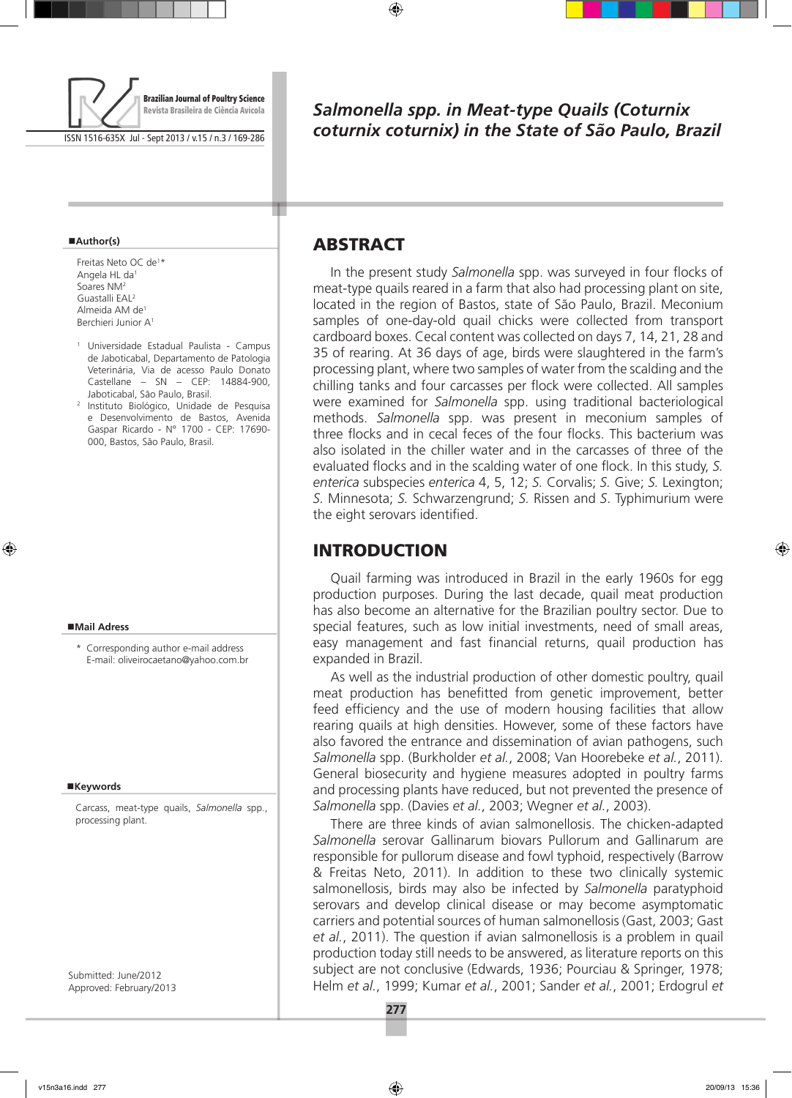

ISSN 1516-635X Jul - Sept 2013 / v.15 / n.3 / 169-286

#### **Author(s)**

Freitas Neto OC de1 \* Angela HL da1 Soares NM2 Guastalli EAL2 Almeida AM de1 Berchieri Junior A1

- <sup>1</sup> Universidade Estadual Paulista Campus de Jaboticabal, Departamento de Patologia Veterinária, Via de acesso Paulo Donato Castellane – SN – CEP: 14884-900, Jaboticabal, São Paulo, Brasil.
- <sup>2</sup> Instituto Biológico, Unidade de Pesquisa e Desenvolvimento de Bastos, Avenida Gaspar Ricardo - N° 1700 - CEP: 17690- 000, Bastos, São Paulo, Brasil.

#### **Mail Adress**

\* Corresponding author e-mail address E-mail: oliveirocaetano@yahoo.com.br

#### **Keywords**

Carcass, meat-type quails, *Salmonella* spp., processing plant.

Submitted: June/2012 Approved: February/2013

# *Salmonella spp. in Meat-type Quails (Coturnix coturnix coturnix) in the State of São Paulo, Brazil*

## **ABSTRACT**

In the present study *Salmonella* spp. was surveyed in four flocks of meat-type quails reared in a farm that also had processing plant on site, located in the region of Bastos, state of São Paulo, Brazil. Meconium samples of one-day-old quail chicks were collected from transport cardboard boxes. Cecal content was collected on days 7, 14, 21, 28 and 35 of rearing. At 36 days of age, birds were slaughtered in the farm's processing plant, where two samples of water from the scalding and the chilling tanks and four carcasses per flock were collected. All samples were examined for *Salmonella* spp. using traditional bacteriological methods. *Salmonella* spp. was present in meconium samples of three flocks and in cecal feces of the four flocks. This bacterium was also isolated in the chiller water and in the carcasses of three of the evaluated flocks and in the scalding water of one flock. In this study, *S. enterica* subspecies *enterica* 4, 5, 12; *S.* Corvalis; *S.* Give; *S.* Lexington; *S.* Minnesota; *S.* Schwarzengrund; *S.* Rissen and *S*. Typhimurium were the eight serovars identified.

### **INTRODUCTION**

Quail farming was introduced in Brazil in the early 1960s for egg production purposes. During the last decade, quail meat production has also become an alternative for the Brazilian poultry sector. Due to special features, such as low initial investments, need of small areas, easy management and fast financial returns, quail production has expanded in Brazil.

As well as the industrial production of other domestic poultry, quail meat production has benefitted from genetic improvement, better feed efficiency and the use of modern housing facilities that allow rearing quails at high densities. However, some of these factors have also favored the entrance and dissemination of avian pathogens, such *Salmonella* spp. (Burkholder *et al.*, 2008; Van Hoorebeke *et al.*, 2011). General biosecurity and hygiene measures adopted in poultry farms and processing plants have reduced, but not prevented the presence of *Salmonella* spp. (Davies *et al.*, 2003; Wegner *et al.*, 2003).

There are three kinds of avian salmonellosis. The chicken-adapted *Salmonella* serovar Gallinarum biovars Pullorum and Gallinarum are responsible for pullorum disease and fowl typhoid, respectively (Barrow & Freitas Neto, 2011). In addition to these two clinically systemic salmonellosis, birds may also be infected by *Salmonella* paratyphoid serovars and develop clinical disease or may become asymptomatic carriers and potential sources of human salmonellosis (Gast, 2003; Gast *et al.*, 2011). The question if avian salmonellosis is a problem in quail production today still needs to be answered, as literature reports on this subject are not conclusive (Edwards, 1936; Pourciau & Springer, 1978; Helm *et al.*, 1999; Kumar *et al.*, 2001; Sander *et al.*, 2001; Erdogrul *et*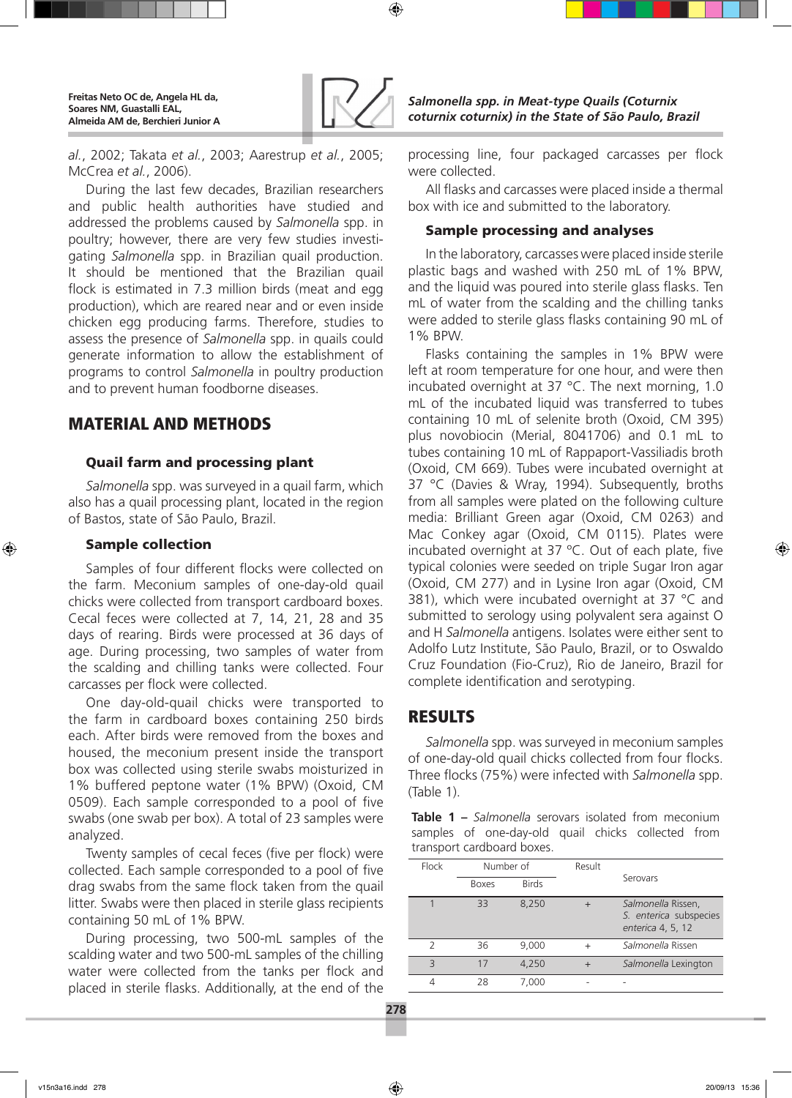

*al.*, 2002; Takata *et al.*, 2003; Aarestrup *et al.*, 2005; McCrea *et al.*, 2006).

During the last few decades, Brazilian researchers and public health authorities have studied and addressed the problems caused by *Salmonella* spp. in poultry; however, there are very few studies investigating *Salmonella* spp. in Brazilian quail production. It should be mentioned that the Brazilian quail flock is estimated in 7.3 million birds (meat and egg production), which are reared near and or even inside chicken egg producing farms. Therefore, studies to assess the presence of *Salmonella* spp. in quails could generate information to allow the establishment of programs to control *Salmonella* in poultry production and to prevent human foodborne diseases.

## Material and methods

### Quail farm and processing plant

*Salmonella* spp. was surveyed in a quail farm, which also has a quail processing plant, located in the region of Bastos, state of São Paulo, Brazil.

### Sample collection

Samples of four different flocks were collected on the farm. Meconium samples of one-day-old quail chicks were collected from transport cardboard boxes. Cecal feces were collected at 7, 14, 21, 28 and 35 days of rearing. Birds were processed at 36 days of age. During processing, two samples of water from the scalding and chilling tanks were collected. Four carcasses per flock were collected.

One day-old-quail chicks were transported to the farm in cardboard boxes containing 250 birds each. After birds were removed from the boxes and housed, the meconium present inside the transport box was collected using sterile swabs moisturized in 1% buffered peptone water (1% BPW) (Oxoid, CM 0509). Each sample corresponded to a pool of five swabs (one swab per box). A total of 23 samples were analyzed.

Twenty samples of cecal feces (five per flock) were collected. Each sample corresponded to a pool of five drag swabs from the same flock taken from the quail litter. Swabs were then placed in sterile glass recipients containing 50 mL of 1% BPW.

During processing, two 500-mL samples of the scalding water and two 500-mL samples of the chilling water were collected from the tanks per flock and placed in sterile flasks. Additionally, at the end of the

processing line, four packaged carcasses per flock were collected.

All flasks and carcasses were placed inside a thermal box with ice and submitted to the laboratory.

### Sample processing and analyses

In the laboratory, carcasses were placed inside sterile plastic bags and washed with 250 mL of 1% BPW, and the liquid was poured into sterile glass flasks. Ten mL of water from the scalding and the chilling tanks were added to sterile glass flasks containing 90 mL of 1% BPW.

Flasks containing the samples in 1% BPW were left at room temperature for one hour, and were then incubated overnight at 37 °C. The next morning, 1.0 mL of the incubated liquid was transferred to tubes containing 10 mL of selenite broth (Oxoid, CM 395) plus novobiocin (Merial, 8041706) and 0.1 mL to tubes containing 10 mL of Rappaport-Vassiliadis broth (Oxoid, CM 669). Tubes were incubated overnight at 37 °C (Davies & Wray, 1994). Subsequently, broths from all samples were plated on the following culture media: Brilliant Green agar (Oxoid, CM 0263) and Mac Conkey agar (Oxoid, CM 0115). Plates were incubated overnight at 37 ºC. Out of each plate, five typical colonies were seeded on triple Sugar Iron agar (Oxoid, CM 277) and in Lysine Iron agar (Oxoid, CM 381), which were incubated overnight at 37 °C and submitted to serology using polyvalent sera against O and H *Salmonella* antigens. Isolates were either sent to Adolfo Lutz Institute, São Paulo, Brazil, or to Oswaldo Cruz Foundation (Fio-Cruz), Rio de Janeiro, Brazil for complete identification and serotyping.

# **RESULTS**

*Salmonella* spp. was surveyed in meconium samples of one-day-old quail chicks collected from four flocks. Three flocks (75%) were infected with *Salmonella* spp. (Table 1).

**Table 1 –** *Salmonella* serovars isolated from meconium samples of one-day-old quail chicks collected from transport cardboard boxes.

| Flock         | Number of    |              | Result    |                                                                   |  |
|---------------|--------------|--------------|-----------|-------------------------------------------------------------------|--|
|               | <b>Boxes</b> | <b>Birds</b> |           | Serovars                                                          |  |
|               | 33           | 8,250        |           | Salmonella Rissen,<br>S. enterica subspecies<br>enterica 4, 5, 12 |  |
| $\mathcal{L}$ | 36           | 9,000        | $\ddot{}$ | Salmonella Rissen                                                 |  |
| ς             | 17           | 4,250        | $\ddot{}$ | Salmonella Lexington                                              |  |
|               | 28           | 7.000        |           |                                                                   |  |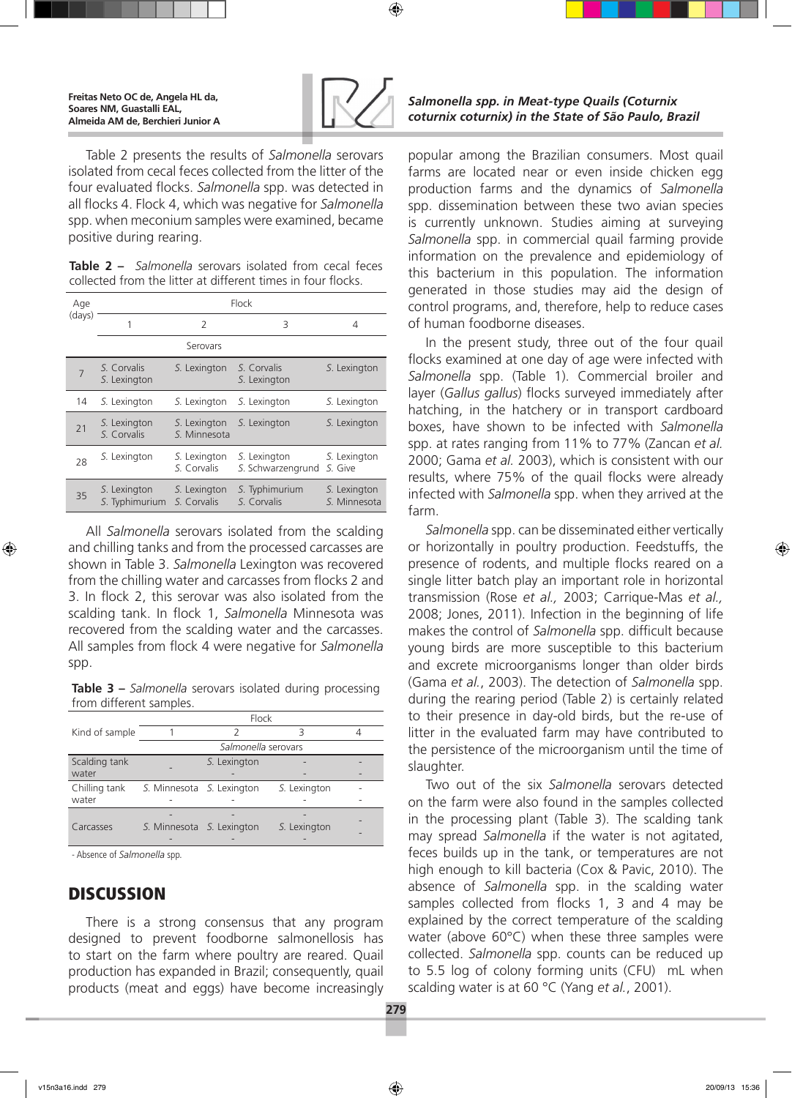

Table 2 presents the results of *Salmonella* serovars isolated from cecal feces collected from the litter of the four evaluated flocks. *Salmonella* spp. was detected in all flocks 4. Flock 4, which was negative for *Salmonella* spp. when meconium samples were examined, became positive during rearing.

**Table 2 –** *Salmonella* serovars isolated from cecal feces collected from the litter at different times in four flocks.

| Age<br>(days) | Flock                          |                              |                                   |                              |  |  |  |
|---------------|--------------------------------|------------------------------|-----------------------------------|------------------------------|--|--|--|
|               | 1                              | $\overline{\phantom{a}}$     | 3                                 | 4                            |  |  |  |
|               | Serovars                       |                              |                                   |                              |  |  |  |
|               | S. Corvalis<br>S. Lexington    | S. Lexington                 | S. Corvalis<br>S. Lexington       | S. Lexington                 |  |  |  |
| 14            | S. Lexington                   | S. Lexington                 | S. Lexington                      | S. Lexington                 |  |  |  |
| 21            | S. Lexington<br>S. Corvalis    | S. Lexington<br>S. Minnesota | S. Lexington                      | S. Lexington                 |  |  |  |
| 28            | S. Lexington                   | S. Lexington<br>S. Corvalis  | S. Lexington<br>S. Schwarzengrund | S. Lexington<br>S. Give      |  |  |  |
| 35            | S. Lexington<br>S. Typhimurium | S. Lexington<br>S. Corvalis  | S. Typhimurium<br>S. Corvalis     | S. Lexington<br>S. Minnesota |  |  |  |

All *Salmonella* serovars isolated from the scalding and chilling tanks and from the processed carcasses are shown in Table 3. *Salmonella* Lexington was recovered from the chilling water and carcasses from flocks 2 and 3. In flock 2, this serovar was also isolated from the scalding tank. In flock 1, *Salmonella* Minnesota was recovered from the scalding water and the carcasses. All samples from flock 4 were negative for *Salmonella* spp.

**Table 3 –** *Salmonella* serovars isolated during processing from different samples.

|                | Flock                     |              |              |  |  |  |  |
|----------------|---------------------------|--------------|--------------|--|--|--|--|
| Kind of sample |                           |              |              |  |  |  |  |
|                | Salmonella serovars       |              |              |  |  |  |  |
| Scalding tank  |                           | S. Lexington |              |  |  |  |  |
| water          |                           |              |              |  |  |  |  |
| Chilling tank  | S. Minnesota S. Lexington |              | S. Lexington |  |  |  |  |
| water          |                           |              |              |  |  |  |  |
|                |                           |              |              |  |  |  |  |
| Carcasses      | S. Minnesota S. Lexington |              | S. Lexington |  |  |  |  |
|                |                           |              |              |  |  |  |  |

- Absence of *Salmonella* spp.

### **DISCUSSION**

There is a strong consensus that any program designed to prevent foodborne salmonellosis has to start on the farm where poultry are reared. Quail production has expanded in Brazil; consequently, quail products (meat and eggs) have become increasingly

### *Salmonella spp. in Meat-type Quails (Coturnix coturnix coturnix) in the State of São Paulo, Brazil*

popular among the Brazilian consumers. Most quail farms are located near or even inside chicken egg production farms and the dynamics of *Salmonella* spp. dissemination between these two avian species is currently unknown. Studies aiming at surveying *Salmonella* spp. in commercial quail farming provide information on the prevalence and epidemiology of this bacterium in this population. The information generated in those studies may aid the design of control programs, and, therefore, help to reduce cases of human foodborne diseases.

In the present study, three out of the four quail flocks examined at one day of age were infected with *Salmonella* spp. (Table 1). Commercial broiler and layer (*Gallus gallus*) flocks surveyed immediately after hatching, in the hatchery or in transport cardboard boxes, have shown to be infected with *Salmonella* spp. at rates ranging from 11% to 77% (Zancan *et al.*  2000; Gama *et al.* 2003), which is consistent with our results, where 75% of the quail flocks were already infected with *Salmonella* spp. when they arrived at the farm.

*Salmonella* spp. can be disseminated either vertically or horizontally in poultry production. Feedstuffs, the presence of rodents, and multiple flocks reared on a single litter batch play an important role in horizontal transmission (Rose *et al.,* 2003; Carrique-Mas *et al.,* 2008; Jones, 2011). Infection in the beginning of life makes the control of *Salmonella* spp. difficult because young birds are more susceptible to this bacterium and excrete microorganisms longer than older birds (Gama *et al.*, 2003). The detection of *Salmonella* spp. during the rearing period (Table 2) is certainly related to their presence in day-old birds, but the re-use of litter in the evaluated farm may have contributed to the persistence of the microorganism until the time of slaughter.

Two out of the six *Salmonella* serovars detected on the farm were also found in the samples collected in the processing plant (Table 3). The scalding tank may spread *Salmonella* if the water is not agitated, feces builds up in the tank, or temperatures are not high enough to kill bacteria (Cox & Pavic, 2010). The absence of *Salmonella* spp. in the scalding water samples collected from flocks 1, 3 and 4 may be explained by the correct temperature of the scalding water (above 60°C) when these three samples were collected. *Salmonella* spp. counts can be reduced up to 5.5 log of colony forming units (CFU) mL when scalding water is at 60 °C (Yang *et al.*, 2001).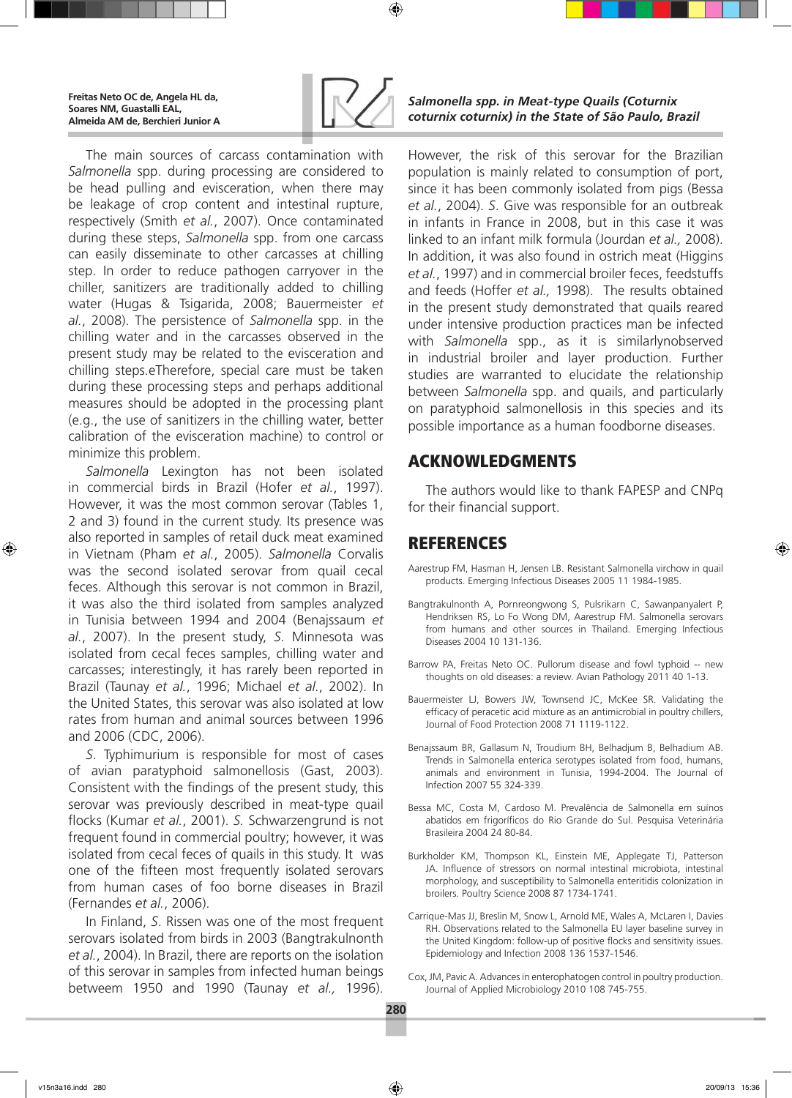

The main sources of carcass contamination with *Salmonella* spp. during processing are considered to be head pulling and evisceration, when there may be leakage of crop content and intestinal rupture, respectively (Smith *et al.*, 2007). Once contaminated during these steps, *Salmonella* spp. from one carcass can easily disseminate to other carcasses at chilling step. In order to reduce pathogen carryover in the chiller, sanitizers are traditionally added to chilling water (Hugas & Tsigarida, 2008; Bauermeister *et al.*, 2008). The persistence of *Salmonella* spp. in the chilling water and in the carcasses observed in the present study may be related to the evisceration and chilling steps.eTherefore, special care must be taken during these processing steps and perhaps additional measures should be adopted in the processing plant (e.g., the use of sanitizers in the chilling water, better calibration of the evisceration machine) to control or minimize this problem.

*Salmonella* Lexington has not been isolated in commercial birds in Brazil (Hofer *et al.*, 1997). However, it was the most common serovar (Tables 1, 2 and 3) found in the current study. Its presence was also reported in samples of retail duck meat examined in Vietnam (Pham *et al.*, 2005). *Salmonella* Corvalis was the second isolated serovar from quail cecal feces. Although this serovar is not common in Brazil, it was also the third isolated from samples analyzed in Tunisia between 1994 and 2004 (Benajssaum *et al.*, 2007). In the present study, *S*. Minnesota was isolated from cecal feces samples, chilling water and carcasses; interestingly, it has rarely been reported in Brazil (Taunay *et al.*, 1996; Michael *et al.*, 2002). In the United States, this serovar was also isolated at low rates from human and animal sources between 1996 and 2006 (CDC, 2006).

*S*. Typhimurium is responsible for most of cases of avian paratyphoid salmonellosis (Gast, 2003). Consistent with the findings of the present study, this serovar was previously described in meat-type quail flocks (Kumar *et al.*, 2001). *S.* Schwarzengrund is not frequent found in commercial poultry; however, it was isolated from cecal feces of quails in this study. It was one of the fifteen most frequently isolated serovars from human cases of foo borne diseases in Brazil (Fernandes *et al.*, 2006).

In Finland, *S*. Rissen was one of the most frequent serovars isolated from birds in 2003 (Bangtrakulnonth *et al.*, 2004). In Brazil, there are reports on the isolation of this serovar in samples from infected human beings betweem 1950 and 1990 (Taunay *et al.,* 1996).

### *Salmonella spp. in Meat-type Quails (Coturnix coturnix coturnix) in the State of São Paulo, Brazil*

However, the risk of this serovar for the Brazilian population is mainly related to consumption of port, since it has been commonly isolated from pigs (Bessa *et al.*, 2004). *S*. Give was responsible for an outbreak in infants in France in 2008, but in this case it was linked to an infant milk formula (Jourdan *et al.,* 2008). In addition, it was also found in ostrich meat (Higgins *et al.*, 1997) and in commercial broiler feces, feedstuffs and feeds (Hoffer *et al.,* 1998). The results obtained in the present study demonstrated that quails reared under intensive production practices man be infected with *Salmonella* spp., as it is similarlynobserved in industrial broiler and layer production. Further studies are warranted to elucidate the relationship between *Salmonella* spp. and quails, and particularly on paratyphoid salmonellosis in this species and its possible importance as a human foodborne diseases.

## Acknowledgments

The authors would like to thank FAPESP and CNPq for their financial support.

# **REFERENCES**

- Aarestrup FM, Hasman H, Jensen LB. Resistant Salmonella virchow in quail products. Emerging Infectious Diseases 2005 11 1984-1985.
- Bangtrakulnonth A, Pornreongwong S, Pulsrikarn C, Sawanpanyalert P, Hendriksen RS, Lo Fo Wong DM, Aarestrup FM. Salmonella serovars from humans and other sources in Thailand. Emerging Infectious Diseases 2004 10 131-136.
- Barrow PA, Freitas Neto OC. Pullorum disease and fowl typhoid -- new thoughts on old diseases: a review. Avian Pathology 2011 40 1-13.
- Bauermeister LJ, Bowers JW, Townsend JC, McKee SR. Validating the efficacy of peracetic acid mixture as an antimicrobial in poultry chillers, Journal of Food Protection 2008 71 1119-1122.
- Benajssaum BR, Gallasum N, Troudium BH, Belhadjum B, Belhadium AB. Trends in Salmonella enterica serotypes isolated from food, humans, animals and environment in Tunisia, 1994-2004. The Journal of Infection 2007 55 324-339.
- Bessa MC, Costa M, Cardoso M. Prevalência de Salmonella em suínos abatidos em frigoríficos do Rio Grande do Sul. Pesquisa Veterinária Brasileira 2004 24 80-84.
- Burkholder KM, Thompson KL, Einstein ME, Applegate TJ, Patterson JA. Influence of stressors on normal intestinal microbiota, intestinal morphology, and susceptibility to Salmonella enteritidis colonization in broilers. Poultry Science 2008 87 1734-1741.
- Carrique-Mas JJ, Breslin M, Snow L, Arnold ME, Wales A, McLaren I, Davies RH. Observations related to the Salmonella EU layer baseline survey in the United Kingdom: follow-up of positive flocks and sensitivity issues. Epidemiology and Infection 2008 136 1537-1546.
- Cox, JM, Pavic A. Advances in enterophatogen control in poultry production. Journal of Applied Microbiology 2010 108 745-755.